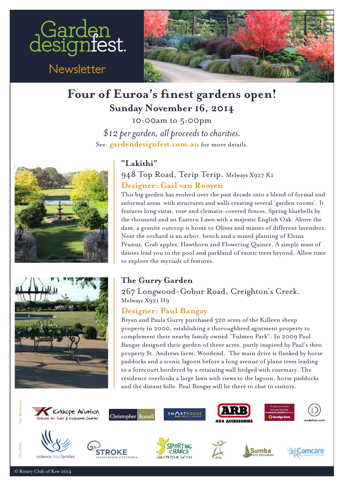

 $Newsletter$ 



## **Four of Euroa's finest gardens open! Sunday November 16, 2014**

10:00am to 5:00pm *\$12 per garden, all proceeds to charities.* See: [gardendesignfest.com.au](http://www.gardendesignfest.com.au) for more details.





### **"Lakithi"**

948 Top Road, Terip Terip. Melways X927 K1 **[Designer: Gail van Rooyen](http://www.gardendesignfest.com.au/designers/17-designers/designer/128-gail-van-rooyen.html)**

This big garden has evolved over the past decade into a blend of formal and isies lead you to the pool and parkland of exotic trees beyond. Allow tim<br>explore the myriads of features. **Australia's Premier Open Garden Garden Weekendler (2019)** the thousand and an Eastern Lawn with a majestic English Oak. Above the dam, a granite outcrop is home to Olives and masses of different lavenders Prunus, Crab apples, Hawthorn and Flowering Quince. A simple mass of<br>daisies lead you to the pool and parkland of exotic trees beyond. Allow time<br>to explore the pyriods of fostures Gardens open 10.00am - 5.00pm *Australian Company and Status County Service* Genes, Spring bluebells by<br>the thousand and an Eastern Lawn with a majestic English Oak. Above the informal areas with structures and walls creating several 'garden rooms'. It dam, a granite outcrop is home to Olives and masses of different lavenders. Near the orchard is an arbor, bench and a mixed planting of Elvins Prunus, Crab apples, Hawthorn and Flowering Quince. A simple mass of daisies lead you to the pool and parkland of exotic trees beyond. Allow time to explore the myriads of features.

 $B$ angay <sub>Melways</sub> x921 H9<br>**[Designer: Paul Bangay](http://www.gardendesignfest.com.au/designers/17-designers/designer/104-paul-bangay.html)** 67 Longwood-Gobur Road, Creighton's Creel<br>shaw Yoot Ho 1ne Gurry Garuen<br>267 Longwood-Gobur Road, Creighton's Creek. Melways X921 H9

Designer: Paul Bangay<br>Bryan and Paula Gurry purchased 320 acres of the Killeen sheep<br>property in 2000, establishing a thoroughbred agistment property to property in 2000, establishing a thoroughbred agistment property to only in 2000, establishing a thoroughbred agistment property to<br>complement their nearby family owned "Fulmen Park". In 2009 Paul Bangay designed their garden of three acres, partly inspired by Paul's then<br>property St. Andrews farm, Woodend. The main drive is flanked by horse paddocks and a scenic lagoon before a long avenue of plane trees leading Bangay designed their garden of three acres, partly inspired by Paul's then residence overlooks a large lawn with views to the lagoon, horse paddocks to a forecourt bordered by a retaining wall hedged with rosemary. The and the distant hills. Paul Bangay will be there to chat to visitors.



Kirkhope Aviation Air Tours & Corporate Charter



SMARTHOUSE







violence free families









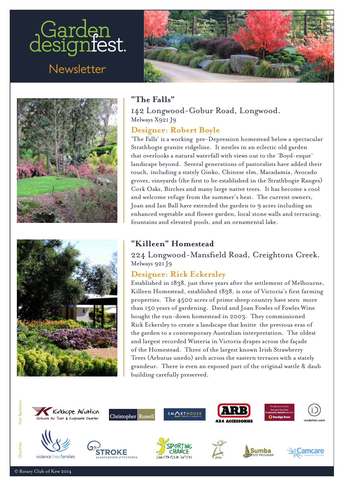# Garden<br>designiest.

 $Newsletter$ 







#### **"The Falls"**

142 Longwood-Gobur Road, Longwood. Melways X921 J9

#### **[Designer: Robert Boyle](http://www.gardendesignfest.com.au/designers/17-designers/designer/81-robert-boyle-1.html)**

and welcome refuge from the summer's heat. The current owners, Joan and Ian Ball have extended the garden to 9 acres including an<br>
enhanced vegetable and flower garden, local stone walls and terracing, 'The Falls' is a working pre-Depression homestead below a spectacular Strathbogie granite ridgeline. It nestles in an eclectic old garden that overlooks a natural waterfall with views out to the 'Boyd-esque' landscape beyond. Several generations of pastoralists have added their touch, including a stately Ginko, Chinese elm, Macadamia, Avocado groves, vineyards (the first to be established in the Strathbogie Ranges) Cork Oaks, Birches and many large native trees. It has become a cool Joan and Ian Ball have extended the garden to 9 acres including an

#### **"Killeen" Homestead**

224 Longwood-Mansfield Road, Creightons Creek.<br>Melways 921J9 || **Killeen Homestead**<br>| 224 Longwood-Mansfield Road, Creightons Creek. Melways 921 J9

# Melways 921 J9<br> **[Designer: Rick Eckersley](http://www.gardendesignfest.com.au/designers/17-designers/designer/98-rick-eckersley.html)**

properties. The 4500 acres of prime sheep country have seen more<br>than 150 years of gardening. David and Joan Fowles of Fowles Wine designed garden to see in 150 years of gardening. David and Joan rowles of rowles wine<br>bought the run-down homestead in 2003. They commissioned<br>Rick Eckersley to create a landscape that knitte the previous eras of six on Moral Section Peninsula; and Sunday and Sunday Peninsula; and Sunday Peninsula; and Sunday Peninsula; and Sunday Peninsula; and Sunday Peninsula; and Sunday Peninsula; and Sunday Peninsula; and Sunday Peninsula; and Euroa garden to a contemporary Australian interpretation. The o of the Homestead. Three of the largest known Irish Strawberry<br>Trees (Arbutus unedo) arch across the eastern terraces with a stately **[Australia's Premi](http://www.gardendesignfest.com.au/gardens/19-gardens/euroa-area/129-rick-eckersley-garden-two.html)er Open Carden Weekender Open Garden Weekendorf Open Garden Weekendorf Melbourne,<br>Premier Open Garden Weekendorf Open Carden United Stablished in 1838, just three years after the settlement of Melbourne,** Trees (Arbutus unedo) arch across the eastern terraces with a stately erver sensitive arrows, and we can consider the current water a state, **gardendesignfest.com.au** building carefully preserved.Killeen Homestead, established 1838, is one of Victoria's fir<br>properties. The 4500 acres of prime sheep country have see Established in 1838, just three years after the settlement of Melbourne,<br>Killeen Homestead, established 1838, is one of Victoria's first farming properties. The 4500 acres of prime sheep country have seen more bought the run-down homestead in 2003. They commissioned Rick Eckersley to create a landscape that knitte the previous eras of the garden to a contemporary Australian interpretation. The oldest and largest recorded Wisteria in Victoria drapes across the façade



Kirkhope Aviation ack Air Tours & Corporate Charter



**SMARTHOUSE** 

















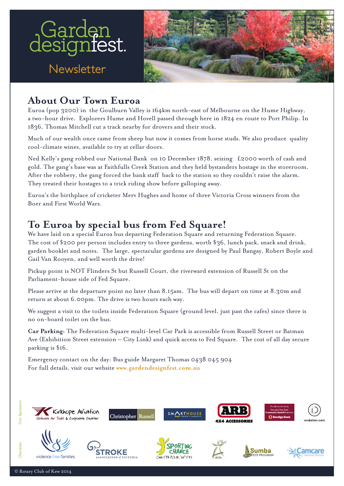

## **About Our Town Euroa**

Euroa (pop 3200) in the Goulburn Valley is 164km north-east of Melbourne on the Hume Highway, a two-hour drive. Explorers Hume and Hovell passed through here in 1824 en route to Port Philip. In 1836, Thomas Mitchell cut a track nearby for drovers and their stock.

Much of our wealth once came from sheep but now it comes from horse studs. We also produce quality cool-climate wines, available to try at cellar doors.

Ned Kelly's gang robbed our National Bank on 10 December 1878, seizing £2000 worth of cash and gold. The gang's base was at Faithfulls Creek Station and they held bystanders hostage in the storeroom. After the robbery, the gang forced the bank staff back to the station so they couldn't raise the alarm. They treated their hostages to a trick riding show before galloping away.

Euroa's the birthplace of cricketer Merv Hughes and home of three Victoria Cross winners from the *Pour and this world wars.*<br> **Australia** Premier Open Garden Weekendamerican Medicine Company of the Company of the Company of the Company of the Company of the Company of the Company of the Company of the Company of the C Boer and First World Wars.

# *Australia's Premier Open Garden Weekend* **To Euroa by special bus from Fed Square!**

gis and social visit also<br>Gail Van Rooyen, and w , speciacular gardens are designed by Paul Dangay, Robert Doyle and<br>drive! The cost of \$200 per person includes entry to three gardens, worth \$30, funch pack, snack and drink,<br>garden booklet and notes. The large, spectacular gardens are designed by Paul Bangay, Robert Boyle and<br>Gail Van Rooven, a Gail Van Rooyen, and well worth the drive! We have laid on a special Euroa bus departing Federation Square and returning Federation Square. The cost of \$200 per person includes entry to three gardens, worth \$36, lunch pack, snack and drink, garden booklet and notes. The large, spectacular gardens are designed by Paul Bangay, Robert Boyle and

Parliament-house side of Fed Square. Pickup point is NOT Flinder Kussen Gourt, the riverward extension of Kussen St on the<br>e. Parliament-house side of Fed Square. Pickup point is NOT Flinders St but Russell Court, the riverward extension of Russell St on the

 $\sum_{i=1}^{\infty}$  display of  $\sum_{i=1}^{\infty}$ return at about 6.00pm. The drive is two hours each way. Please arrive at the departure point no later than 8.15am. The bus will depart on time at 8.30m and<br>return at about 6.00pm. The drive is two bours each way

We suggest a visit to the toilets inside Federation Square (ground level, just past the cafes) since there is designed to designed to see in Melbournes. Execution of no on-board toilet on the bus. urs each way.<br>Ion Souare (ground lovel, just pest the eafee) since th  $\mathcal{G}$  and  $\mathcal{G}$  are  $\mathcal{G}$  and  $\mathcal{G}$  and  $\mathcal{G}$ We suggest a visit to the toilets inside Federation Square (ground level, just past the cafes) since there is<br>no on-board toilet on the bus.

six on Mornington Peninsula; and on Sunday  $\alpha$  and  $\alpha$ , for the Euclidian spectrum  $\alpha$ ,  $\alpha$ ,  $\alpha$ ,  $\alpha$ ,  $\alpha$ no (emission secondition) no on-board toilet on the bus.<br> **Car Parking**: The Federation Square multi-level Car Park is accessible from Russell Street or Batman **gardendesignfest.com.au** North East Victoria. The Teacharon Square multi-level Car Tark is accessible from Russell Street of Bathland.<br>Ave (Exhibition Street extension – City Link) and quick access to Fed Square. The cost of all day secure parking is \$16. designed gardens. Eighteen to see in Melbourne; **Car Parking:** The Federation Square multi-level Car Park is accessible from Russell Street or Batman

This is a unique opportunity to meet designers Emergency contact on the day: Bus guide Margaret Thomas 0438 0 For full details, visit our websi For full details, visit our website www.<mark>gardendesignfest.com.au</mark> Emergency contact on the day: Bus guide Margaret Thomas 0438 045 904 **gardendesignfest.com.au**



violence free families

discover new possibilities.